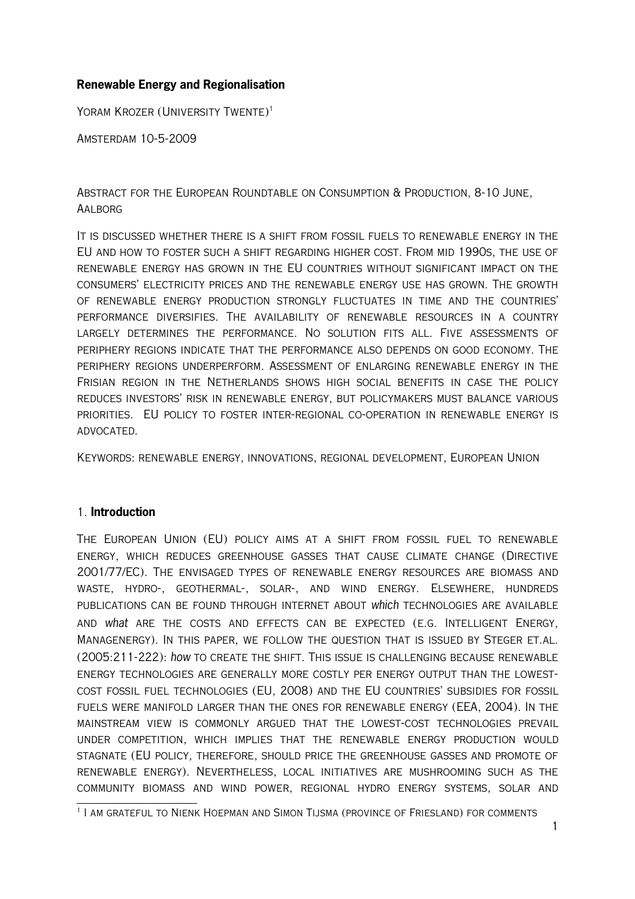# **Renewable Energy and Regionalisation**

YORAM KROZER (UNIVERSITY TWENTE)<sup>[1](#page-0-0)</sup>

Amsterdam 10-5-2009

Abstract for the European Roundtable on Consumption & Production, 8-10 June, **AALBORG** 

It is discussed whether there is a shift from fossil fuels to renewable energy in the EU and how to foster such a shift regarding higher cost. From mid 1990s, the use of renewable energy has grown in the EU countries without significant impact on the consumers' electricity prices and the renewable energy use has grown. The growth of renewable energy production strongly fluctuates in time and the countries' performance diversifies. The availability of renewable resources in a country largely determines the performance. No solution fits all. Five assessments of periphery regions indicate that the performance also depends on good economy. The periphery regions underperform. Assessment of enlarging renewable energy in the Frisian region in the Netherlands shows high social benefits in case the policy reduces investors' risk in renewable energy, but policymakers must balance various priorities. EU policy to foster inter-regional co-operation in renewable energy is advocated.

Keywords: renewable energy, innovations, regional development, European Union

## 1. **Introduction**

The European Union (EU) policy aims at a shift from fossil fuel to renewable energy, which reduces greenhouse gasses that cause climate change (Directive 2001/77/EC). The envisaged types of renewable energy resources are biomass and waste, hydro-, geothermal-, solar-, and wind energy. Elsewhere, hundreds publications can be found through internet about which technologies are available and what are the costs and effects can be expected (e.g. Intelligent Energy, Managenergy). In this paper, we follow the question that is issued by Steger et.al. (2005:211-222): how to create the shift. This issue is challenging because renewable energy technologies are generally more costly per energy output than the lowestcost fossil fuel technologies (EU, 2008) and the EU countries' subsidies for fossil fuels were manifold larger than the ones for renewable energy (EEA, 2004). In the mainstream view is commonly argued that the lowest-cost technologies prevail under competition, which implies that the renewable energy production would stagnate (EU policy, therefore, should price the greenhouse gasses and promote of renewable energy). Nevertheless, local initiatives are mushrooming such as the community biomass and wind power, regional hydro energy systems, solar and

<span id="page-0-0"></span><sup>1</sup> I am grateful to Nienk Hoepman and Simon Tijsma (province of Friesland) for comments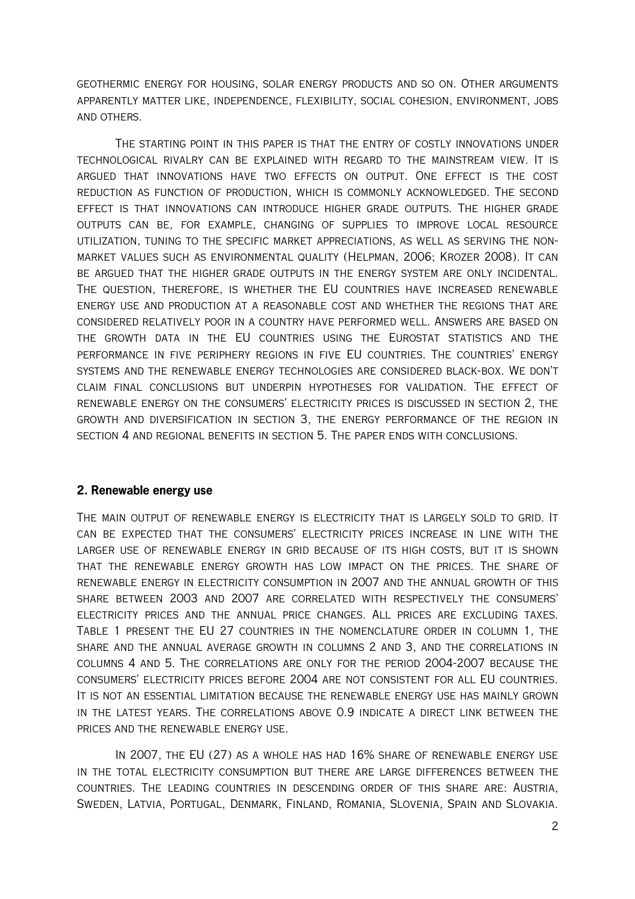geothermic energy for housing, solar energy products and so on. Other arguments apparently matter like, independence, flexibility, social cohesion, environment, jobs and others.

The starting point in this paper is that the entry of costly innovations under technological rivalry can be explained with regard to the mainstream view. It is argued that innovations have two effects on output. One effect is the cost reduction as function of production, which is commonly acknowledged. The second effect is that innovations can introduce higher grade outputs. The higher grade outputs can be, for example, changing of supplies to improve local resource utilization, tuning to the specific market appreciations, as well as serving the nonmarket values such as environmental quality (Helpman, 2006; Krozer 2008). It can be argued that the higher grade outputs in the energy system are only incidental. The question, therefore, is whether the EU countries have increased renewable energy use and production at a reasonable cost and whether the regions that are considered relatively poor in a country have performed well. Answers are based on the growth data in the EU countries using the Eurostat statistics and the performance in five periphery regions in five EU countries. The countries' energy systems and the renewable energy technologies are considered black-box. We don't claim final conclusions but underpin hypotheses for validation. The effect of renewable energy on the consumers' electricity prices is discussed in section 2, the growth and diversification in section 3, the energy performance of the region in section 4 and regional benefits in section 5. The paper ends with conclusions.

### **2. Renewable energy use**

The main output of renewable energy is electricity that is largely sold to grid. It can be expected that the consumers' electricity prices increase in line with the larger use of renewable energy in grid because of its high costs, but it is shown that the renewable energy growth has low impact on the prices. The share of renewable energy in electricity consumption in 2007 and the annual growth of this share between 2003 and 2007 are correlated with respectively the consumers' electricity prices and the annual price changes. All prices are excluding taxes. Table 1 present the EU 27 countries in the nomenclature order in column 1, the share and the annual average growth in columns 2 and 3, and the correlations in columns 4 and 5. The correlations are only for the period 2004-2007 because the consumers' electricity prices before 2004 are not consistent for all EU countries. It is not an essential limitation because the renewable energy use has mainly grown in the latest years. The correlations above 0.9 indicate a direct link between the prices and the renewable energy use.

In 2007, the EU (27) as a whole has had 16% share of renewable energy use in the total electricity consumption but there are large differences between the countries. The leading countries in descending order of this share are: Austria, Sweden, Latvia, Portugal, Denmark, Finland, Romania, Slovenia, Spain and Slovakia.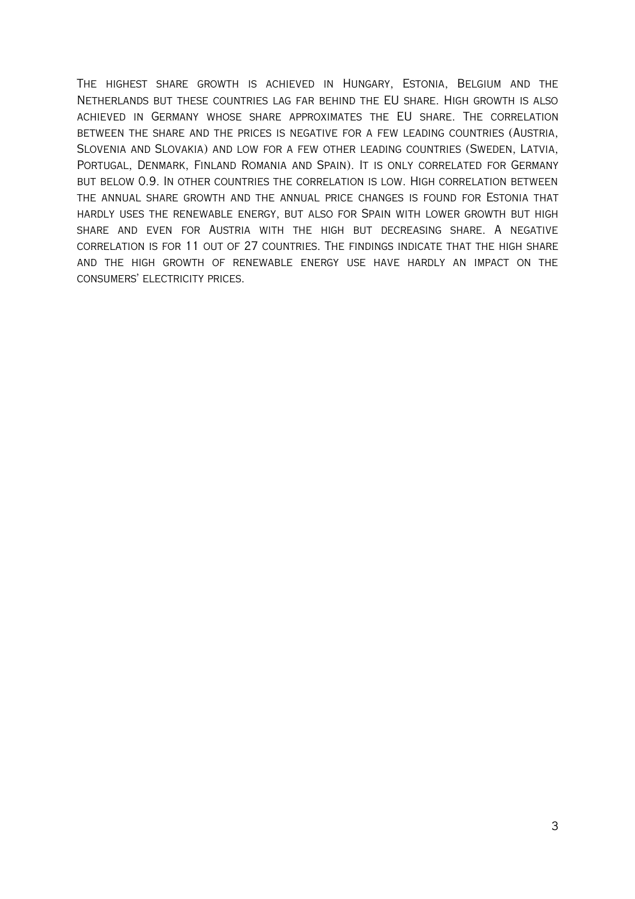The highest share growth is achieved in Hungary, Estonia, Belgium and the Netherlands but these countries lag far behind the EU share. High growth is also achieved in Germany whose share approximates the EU share. The correlation between the share and the prices is negative for a few leading countries (Austria, Slovenia and Slovakia) and low for a few other leading countries (Sweden, Latvia, Portugal, Denmark, Finland Romania and Spain). It is only correlated for Germany but below 0.9. In other countries the correlation is low. High correlation between the annual share growth and the annual price changes is found for Estonia that hardly uses the renewable energy, but also for Spain with lower growth but high share and even for Austria with the high but decreasing share. A negative correlation is for 11 out of 27 countries. The findings indicate that the high share and the high growth of renewable energy use have hardly an impact on the CONSUMERS' ELECTRICITY PRICES.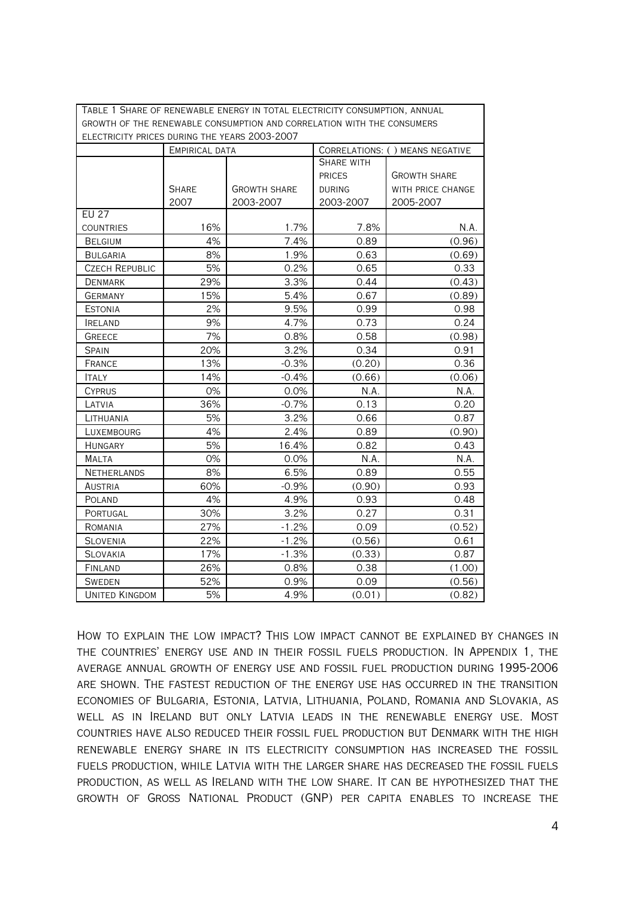Table 1 Share of renewable energy in total electricity consumption, annual growth of the renewable consumption and correlation with the consumers electricity prices during the years 2003-2007

| ELECTRICITY PRICES DURING THE YEARS ZUU3-ZUU7 |                |                     |                                  |                     |  |  |  |  |
|-----------------------------------------------|----------------|---------------------|----------------------------------|---------------------|--|--|--|--|
|                                               | EMPIRICAL DATA |                     | CORRELATIONS: ( ) MEANS NEGATIVE |                     |  |  |  |  |
|                                               |                |                     | <b>SHARE WITH</b>                |                     |  |  |  |  |
|                                               |                |                     | <b>PRICES</b>                    | <b>GROWTH SHARE</b> |  |  |  |  |
|                                               | <b>SHARE</b>   | <b>GROWTH SHARE</b> | <b>DURING</b>                    | WITH PRICE CHANGE   |  |  |  |  |
|                                               | 2007           | 2003-2007           | 2003-2007                        | 2005-2007           |  |  |  |  |
| <b>EU 27</b>                                  |                |                     |                                  |                     |  |  |  |  |
| <b>COUNTRIES</b>                              | 16%            | 1.7%                | 7.8%                             | N.A.                |  |  |  |  |
| <b>BELGIUM</b>                                | 4%             | 7.4%                | 0.89                             | (0.96)              |  |  |  |  |
| <b>BULGARIA</b>                               | 8%             | 1.9%                | 0.63                             | (0.69)              |  |  |  |  |
| <b>CZECH REPUBLIC</b>                         | 5%             | 0.2%                | 0.65                             | 0.33                |  |  |  |  |
| <b>DENMARK</b>                                | 29%            | 3.3%                | 0.44                             | (0.43)              |  |  |  |  |
| <b>GERMANY</b>                                | 15%            | 5.4%                | 0.67                             | (0.89)              |  |  |  |  |
| <b>ESTONIA</b>                                | 2%             | 9.5%                | 0.99                             | 0.98                |  |  |  |  |
| <b>IRELAND</b>                                | 9%             | 4.7%                | 0.73                             | 0.24                |  |  |  |  |
| <b>GREECE</b>                                 | 7%             | 0.8%                | 0.58                             | (0.98)              |  |  |  |  |
| <b>SPAIN</b>                                  | 20%            | 3.2%                | 0.34                             | 0.91                |  |  |  |  |
| FRANCE                                        | 13%            | $-0.3%$             | (0.20)                           | 0.36                |  |  |  |  |
| <b>ITALY</b>                                  | 14%            | $-0.4%$             | (0.66)                           | (0.06)              |  |  |  |  |
| <b>CYPRUS</b>                                 | 0%             | 0.0%                | N.A.                             | N.A.                |  |  |  |  |
| LATVIA                                        | 36%            | $-0.7%$             | 0.13                             | 0.20                |  |  |  |  |
| LITHUANIA                                     | 5%             | 3.2%                | 0.66                             | 0.87                |  |  |  |  |
| LUXEMBOURG                                    | 4%             | 2.4%                | 0.89                             | (0.90)              |  |  |  |  |
| <b>HUNGARY</b>                                | 5%             | 16.4%               | 0.82                             | 0.43                |  |  |  |  |
| <b>MALTA</b>                                  | 0%             | 0.0%                | N.A.                             | N.A.                |  |  |  |  |
| <b>NETHERLANDS</b>                            | 8%             | 6.5%                | 0.89                             | 0.55                |  |  |  |  |
| <b>AUSTRIA</b>                                | 60%            | $-0.9%$             | (0.90)                           | 0.93                |  |  |  |  |
| <b>POLAND</b>                                 | 4%             | 4.9%                | 0.93                             | 0.48                |  |  |  |  |
| PORTUGAL                                      | 30%            | 3.2%                | 0.27                             | 0.31                |  |  |  |  |
| ROMANIA                                       | 27%            | $-1.2%$             | 0.09                             | (0.52)              |  |  |  |  |
| <b>SLOVENIA</b>                               | 22%            | $-1.2%$             | (0.56)                           | 0.61                |  |  |  |  |
| <b>SLOVAKIA</b>                               | 17%            | $-1.3%$             | (0.33)                           | 0.87                |  |  |  |  |
| FINLAND                                       | 26%            | 0.8%                | 0.38                             | (1.00)              |  |  |  |  |
| <b>SWEDEN</b>                                 | 52%            | 0.9%                | 0.09                             | (0.56)              |  |  |  |  |
| <b>UNITED KINGDOM</b>                         | 5%             | 4.9%                | (0.01)                           | (0.82)              |  |  |  |  |

How to explain the low impact? This low impact cannot be explained by changes in the countries' energy use and in their fossil fuels production. In Appendix 1, the average annual growth of energy use and fossil fuel production during 1995-2006 are shown. The fastest reduction of the energy use has occurred in the transition economies of Bulgaria, Estonia, Latvia, Lithuania, Poland, Romania and Slovakia, as well as in Ireland but only Latvia leads in the renewable energy use. Most countries have also reduced their fossil fuel production but Denmark with the high renewable energy share in its electricity consumption has increased the fossil fuels production, while Latvia with the larger share has decreased the fossil fuels production, as well as Ireland with the low share. It can be hypothesized that the growth of Gross National Product (GNP) per capita enables to increase the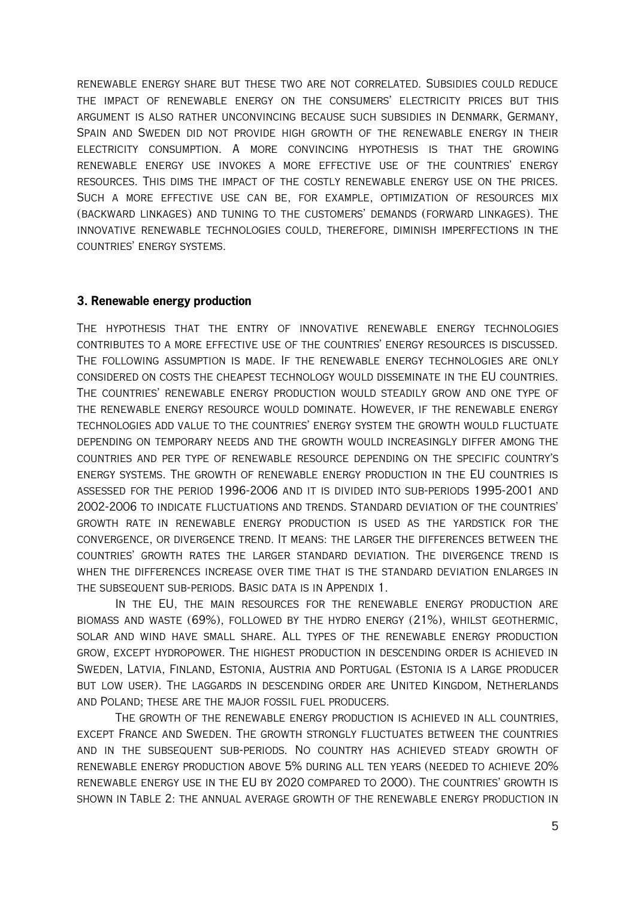renewable energy share but these two are not correlated. Subsidies could reduce the impact of renewable energy on the consumers' electricity prices but this argument is also rather unconvincing because such subsidies in Denmark, Germany, Spain and Sweden did not provide high growth of the renewable energy in their electricity consumption. A more convincing hypothesis is that the growing renewable energy use invokes a more effective use of the countries' energy resources. This dims the impact of the costly renewable energy use on the prices. Such a more effective use can be, for example, optimization of resources mix (backward linkages) and tuning to the customers' demands (forward linkages). The innovative renewable technologies could, therefore, diminish imperfections in the countries' energy systems.

## **3. Renewable energy production**

The hypothesis that the entry of innovative renewable energy technologies contributes to a more effective use of the countries' energy resources is discussed. The following assumption is made. If the renewable energy technologies are only considered on costs the cheapest technology would disseminate in the EU countries. The countries' renewable energy production would steadily grow and one type of the renewable energy resource would dominate. However, if the renewable energy technologies add value to the countries' energy system the growth would fluctuate depending on temporary needs and the growth would increasingly differ among the countries and per type of renewable resource depending on the specific country's energy systems. The growth of renewable energy production in the EU countries is assessed for the period 1996-2006 and it is divided into sub-periods 1995-2001 and 2002-2006 to indicate fluctuations and trends. Standard deviation of the countries' growth rate in renewable energy production is used as the yardstick for the convergence, or divergence trend. It means: the larger the differences between the countries' growth rates the larger standard deviation. The divergence trend is when the differences increase over time that is the standard deviation enlarges in the subsequent sub-periods. Basic data is in Appendix 1.

In the EU, the main resources for the renewable energy production are biomass and waste (69%), followed by the hydro energy (21%), whilst geothermic, solar and wind have small share. All types of the renewable energy production grow, except hydropower. The highest production in descending order is achieved in Sweden, Latvia, Finland, Estonia, Austria and Portugal (Estonia is a large producer but low user). The laggards in descending order are United Kingdom, Netherlands and Poland; these are the major fossil fuel producers.

The growth of the renewable energy production is achieved in all countries, except France and Sweden. The growth strongly fluctuates between the countries and in the subsequent sub-periods. No country has achieved steady growth of renewable energy production above 5% during all ten years (needed to achieve 20% renewable energy use in the EU by 2020 compared to 2000). The countries' growth is shown in Table 2: the annual average growth of the renewable energy production in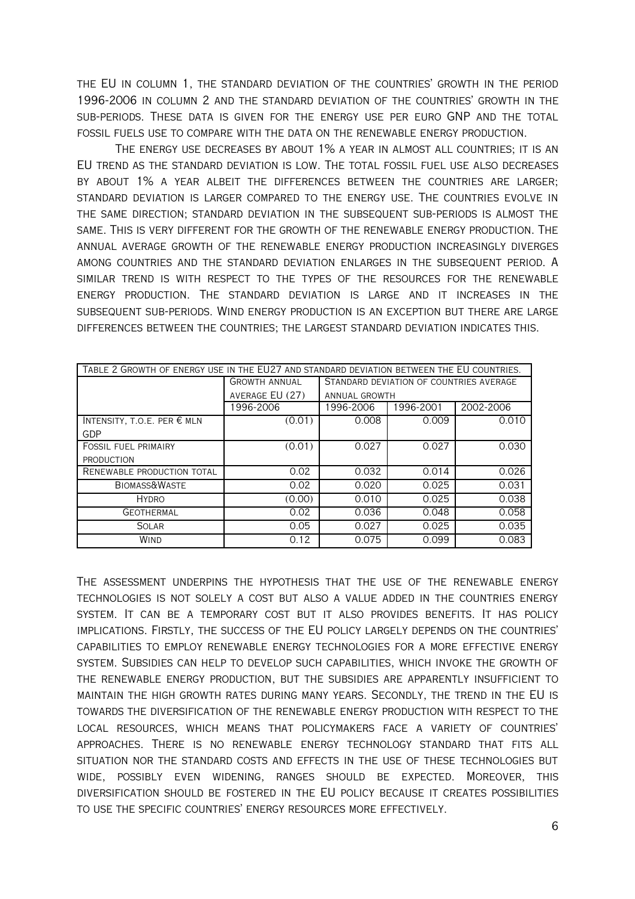the EU in column 1, the standard deviation of the countries' growth in the period 1996-2006 in column 2 and the standard deviation of the countries' growth in the sub-periods. These data is given for the energy use per euro GNP and the total fossil fuels use to compare with the data on the renewable energy production.

The energy use decreases by about 1% a year in almost all countries; it is an EU trend as the standard deviation is low. The total fossil fuel use also decreases by about 1% a year albeit the differences between the countries are larger; standard deviation is larger compared to the energy use. The countries evolve in the same direction; standard deviation in the subsequent sub-periods is almost the same. This is very different for the growth of the renewable energy production. The annual average growth of the renewable energy production increasingly diverges among countries and the standard deviation enlarges in the subsequent period. A similar trend is with respect to the types of the resources for the renewable energy production. The standard deviation is large and it increases in the subsequent sub-periods. Wind energy production is an exception but there are large differences between the countries; the largest standard deviation indicates this.

| TABLE 2 GROWTH OF ENERGY USE IN THE EU27 AND STANDARD DEVIATION BETWEEN THE EU COUNTRIES. |                      |                                         |           |           |  |  |  |  |
|-------------------------------------------------------------------------------------------|----------------------|-----------------------------------------|-----------|-----------|--|--|--|--|
|                                                                                           | <b>GROWTH ANNUAL</b> | STANDARD DEVIATION OF COUNTRIES AVERAGE |           |           |  |  |  |  |
|                                                                                           | AVERAGE EU (27)      | <b>ANNUAL GROWTH</b>                    |           |           |  |  |  |  |
|                                                                                           | 1996-2006            | 996-2006                                | 1996-2001 | 2002-2006 |  |  |  |  |
| INTENSITY, T.O.E. PER € MLN                                                               | (0.01)               | 0.008                                   | 0.009     | 0.010     |  |  |  |  |
| GDP                                                                                       |                      |                                         |           |           |  |  |  |  |
| <b>FOSSIL FUEL PRIMAIRY</b>                                                               | (0.01)               | 0.027                                   | 0.027     | 0.030     |  |  |  |  |
| <b>PRODUCTION</b>                                                                         |                      |                                         |           |           |  |  |  |  |
| RENEWABLE PRODUCTION TOTAL                                                                | 0.02                 | 0.032                                   | 0.014     | 0.026     |  |  |  |  |
| BIOMASS&WASTE                                                                             | 0.02                 | 0.020                                   | 0.025     | 0.031     |  |  |  |  |
| <b>HYDRO</b>                                                                              | (0.00)               | 0.010                                   | 0.025     | 0.038     |  |  |  |  |
| <b>GEOTHERMAL</b>                                                                         | 0.02                 | 0.036                                   | 0.048     | 0.058     |  |  |  |  |
| <b>SOLAR</b>                                                                              | 0.05                 | 0.027                                   | 0.025     | 0.035     |  |  |  |  |
| <b>WIND</b>                                                                               | 0.12                 | 0.075                                   | 0.099     | 0.083     |  |  |  |  |

The assessment underpins the hypothesis that the use of the renewable energy technologies is not solely a cost but also a value added in the countries energy system. It can be a temporary cost but it also provides benefits. It has policy implications. Firstly, the success of the EU policy largely depends on the countries' capabilities to employ renewable energy technologies for a more effective energy system. Subsidies can help to develop such capabilities, which invoke the growth of the renewable energy production, but the subsidies are apparently insufficient to maintain the high growth rates during many years. Secondly, the trend in the EU is towards the diversification of the renewable energy production with respect to the local resources, which means that policymakers face a variety of countries' approaches. There is no renewable energy technology standard that fits all situation nor the standard costs and effects in the use of these technologies but wide, possibly even widening, ranges should be expected. Moreover, this diversification should be fostered in the EU policy because it creates possibilities to use the specific countries' energy resources more effectively.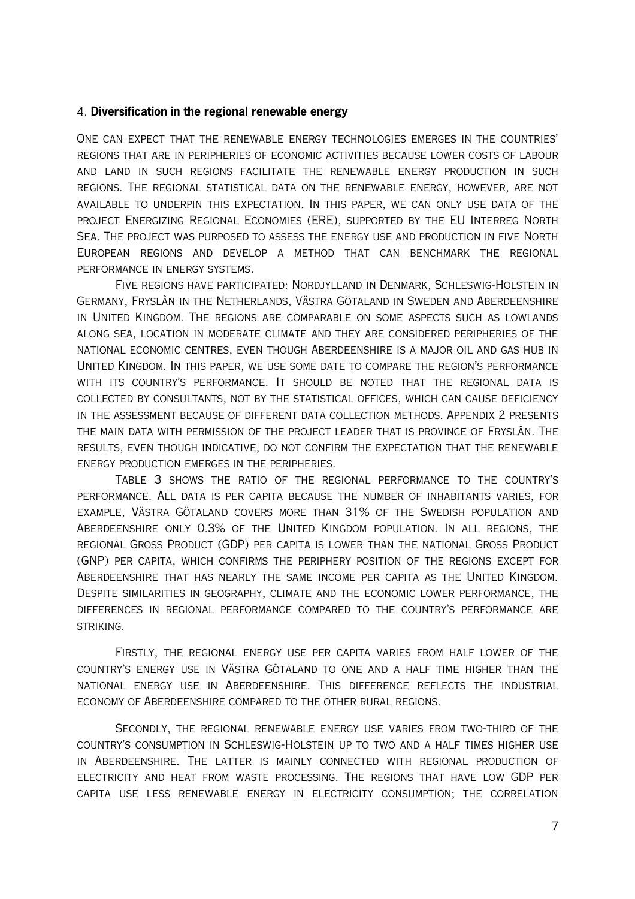#### 4. **Diversification in the regional renewable energy**

One can expect that the renewable energy technologies emerges in the countries' regions that are in peripheries of economic activities because lower costs of labour and land in such regions facilitate the renewable energy production in such regions. The regional statistical data on the renewable energy, however, are not available to underpin this expectation. In this paper, we can only use data of the project Energizing Regional Economies (ERE), supported by the EU Interreg North Sea. The project was purposed to assess the energy use and production in five North European regions and develop a method that can benchmark the regional performance in energy systems.

Five regions have participated: Nordjylland in Denmark, Schleswig-Holstein in Germany, Fryslân in the Netherlands, Västra Götaland in Sweden and Aberdeenshire in United Kingdom. The regions are comparable on some aspects such as lowlands along sea, location in moderate climate and they are considered peripheries of the national economic centres, even though Aberdeenshire is a major oil and gas hub in United Kingdom. In this paper, we use some date to compare the region's performance WITH ITS COUNTRY'S PERFORMANCE. IT SHOULD BE NOTED THAT THE REGIONAL DATA IS collected by consultants, not by the statistical offices, which can cause deficiency in the assessment because of different data collection methods. Appendix 2 presents the main data with permission of the project leader that is province of Fryslân. The results, even though indicative, do not confirm the expectation that the renewable energy production emerges in the peripheries.

Table 3 shows the ratio of the regional performance to the country's performance. All data is per capita because the number of inhabitants varies, for example, Västra Götaland covers more than 31% of the Swedish population and Aberdeenshire only 0.3% of the United Kingdom population. In all regions, the regional Gross Product (GDP) per capita is lower than the national Gross Product (GNP) per capita, which confirms the periphery position of the regions except for Aberdeenshire that has nearly the same income per capita as the United Kingdom. Despite similarities in geography, climate and the economic lower performance, the differences in regional performance compared to the country's performance are striking.

Firstly, the regional energy use per capita varies from half lower of the country's energy use in Västra Götaland to one and a half time higher than the national energy use in Aberdeenshire. This difference reflects the industrial economy of Aberdeenshire compared to the other rural regions.

Secondly, the regional renewable energy use varies from two-third of the country's consumption in Schleswig-Holstein up to two and a half times higher use in Aberdeenshire. The latter is mainly connected with regional production of electricity and heat from waste processing. The regions that have low GDP per capita use less renewable energy in electricity consumption; the correlation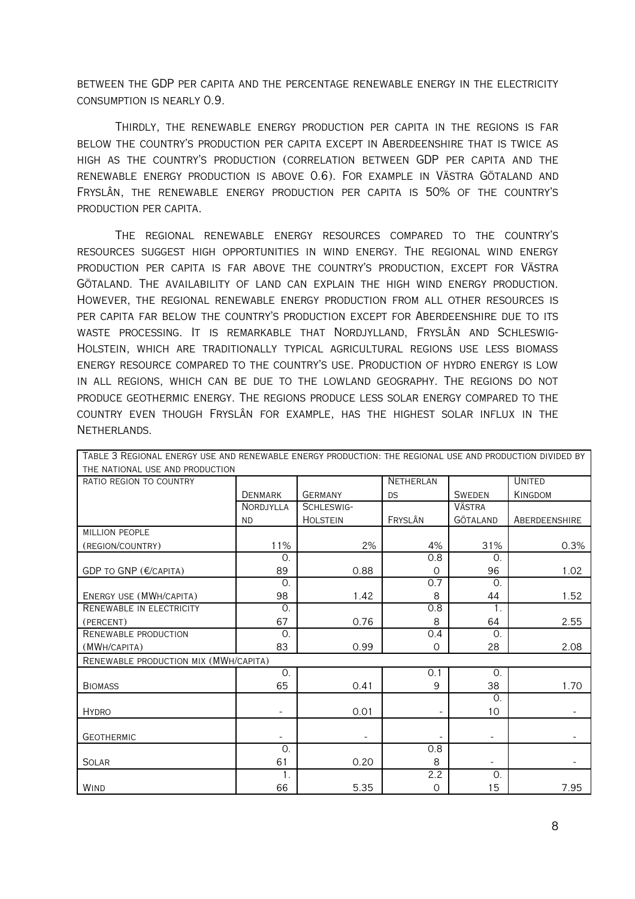between the GDP per capita and the percentage renewable energy in the electricity consumption is nearly 0.9.

Thirdly, the renewable energy production per capita in the regions is far below the country's production per capita except in Aberdeenshire that is twice as high as the country's production (correlation between GDP per capita and the renewable energy production is above 0.6). For example in Västra Götaland and Fryslân, the renewable energy production per capita is 50% of the country's production per capita.

The regional renewable energy resources compared to the country's resources suggest high opportunities in wind energy. The regional wind energy production per capita is far above the country's production, except for Västra Götaland. The availability of land can explain the high wind energy production. However, the regional renewable energy production from all other resources is per capita far below the country's production except for Aberdeenshire due to its waste processing. It is remarkable that Nordjylland, Fryslân and Schleswig-Holstein, which are traditionally typical agricultural regions use less biomass energy resource compared to the country's use. Production of hydro energy is low in all regions, which can be due to the lowland geography. The regions do not produce geothermic energy. The regions produce less solar energy compared to the country even though Fryslân for example, has the highest solar influx in the Netherlands.

| THE NATIONAL USE AND PRODUCTION       |                |                          |                  |               |                |
|---------------------------------------|----------------|--------------------------|------------------|---------------|----------------|
| RATIO REGION TO COUNTRY               |                |                          | <b>NETHERLAN</b> |               | <b>UNITED</b>  |
|                                       | <b>DENMARK</b> | <b>GERMANY</b>           | <b>DS</b>        | <b>SWEDEN</b> | <b>KINGDOM</b> |
|                                       | NORDJYLLA      | SCHLESWIG-               |                  | <b>VÄSTRA</b> |                |
|                                       | <b>ND</b>      | <b>HOLSTEIN</b>          | FRYSLÂN          | GÖTALAND      | ABERDEENSHIRE  |
| <b>MILLION PEOPLE</b>                 |                |                          |                  |               |                |
| (REGION/COUNTRY)                      | 11%            | 2%                       | 4%               | 31%           | 0.3%           |
|                                       | $\Omega$ .     |                          | 0.8              | $\Omega$ .    |                |
| GDP TO GNP (€/CAPITA)                 | 89             | 0.88                     | $\circ$          | 96            | 1.02           |
|                                       | $\Omega$ .     |                          | 0.7              | $\Omega$ .    |                |
| ENERGY USE (MWH/CAPITA)               | 98             | 1.42                     | 8                | 44            | 1.52           |
| RENEWABLE IN ELECTRICITY              | $\Omega$ .     |                          | 0.8              | 1.            |                |
| (PERCENT)                             | 67             | 0.76                     | 8                | 64            | 2.55           |
| RENEWABLE PRODUCTION                  | $\Omega$       |                          | 0.4              | $\Omega$ .    |                |
| (MWH/CAPITA)                          | 83             | 0.99                     | $\mathbf 0$      | 28            | 2.08           |
| RENEWABLE PRODUCTION MIX (MWH/CAPITA) |                |                          |                  |               |                |
|                                       | 0.             |                          | 0.1              | 0.            |                |
| <b>BIOMASS</b>                        | 65             | 0.41                     | 9                | 38            | 1.70           |
|                                       |                |                          |                  | $\Omega$ .    |                |
| <b>HYDRO</b>                          |                | 0.01                     |                  | 10            |                |
|                                       |                |                          |                  |               |                |
| <b>GEOTHERMIC</b>                     |                | $\overline{\phantom{a}}$ |                  |               |                |
|                                       | $\Omega$ .     |                          | 0.8              |               |                |
| <b>SOLAR</b>                          | 61             | 0.20                     | 8                | Ξ.            |                |
|                                       | $\mathbf{1}$ . |                          | 2.2              | $\Omega$ .    |                |
| WIND                                  | 66             | 5.35                     | $\mathbf 0$      | 15            | 7.95           |

Table 3 Regional energy use and renewable energy production: the regional use and production divided by

8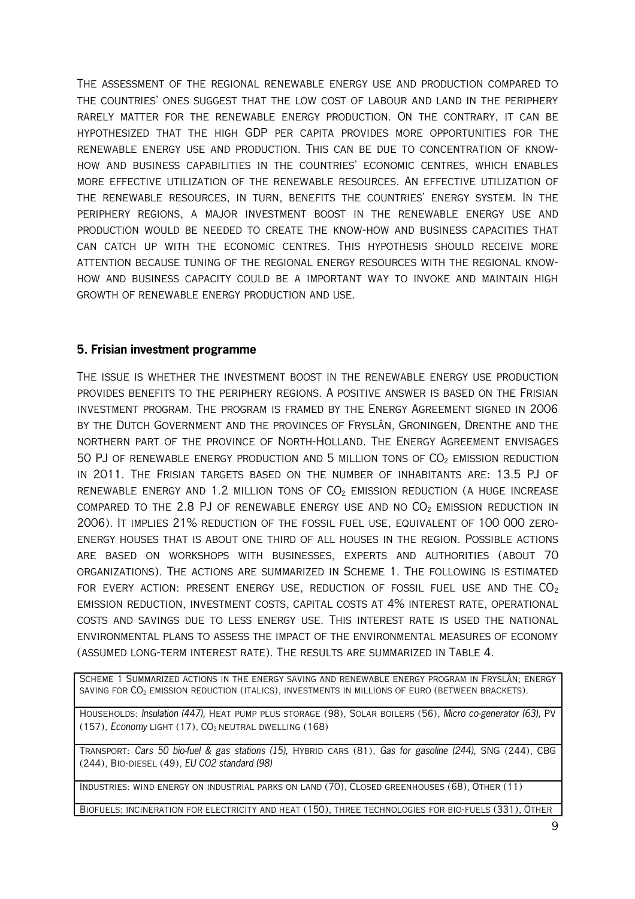The assessment of the regional renewable energy use and production compared to the countries' ones suggest that the low cost of labour and land in the periphery rarely matter for the renewable energy production. On the contrary, it can be hypothesized that the high GDP per capita provides more opportunities for the renewable energy use and production. This can be due to concentration of knowhow and business capabilities in the countries' economic centres, which enables more effective utilization of the renewable resources. An effective utilization of the renewable resources, in turn, benefits the countries' energy system. In the periphery regions, a major investment boost in the renewable energy use and production would be needed to create the know-how and business capacities that can catch up with the economic centres. This hypothesis should receive more attention because tuning of the regional energy resources with the regional knowhow and business capacity could be a important way to invoke and maintain high growth of renewable energy production and use.

### **5. Frisian investment programme**

The issue is whether the investment boost in the renewable energy use production provides benefits to the periphery regions. A positive answer is based on the Frisian investment program. The program is framed by the Energy Agreement signed in 2006 by the Dutch Government and the provinces of Fryslân, Groningen, Drenthe and the northern part of the province of North-Holland. The Energy Agreement envisages 50 PJ of renewable energy production and 5 million tons of  $CO<sub>2</sub>$  emission reduction in 2011. The Frisian targets based on the number of inhabitants are: 13.5 PJ of RENEWABLE ENERGY AND 1.2 MILLION TONS OF  $CO<sub>2</sub>$  EMISSION REDUCTION (A HUGE INCREASE COMPARED TO THE 2.8 PJ OF RENEWABLE ENERGY USE AND NO  $CO<sub>2</sub>$  EMISSION REDUCTION IN 2006). It implies 21% reduction of the fossil fuel use, equivalent of 100 000 zeroenergy houses that is about one third of all houses in the region. Possible actions are based on workshops with businesses, experts and authorities (about 70 organizations). The actions are summarized in Scheme 1. The following is estimated FOR EVERY ACTION: PRESENT ENERGY USE, REDUCTION OF FOSSIL FUEL USE AND THE  $CO<sub>2</sub>$ emission reduction, investment costs, capital costs at 4% interest rate, operational costs and savings due to less energy use. This interest rate is used the national environmental plans to assess the impact of the environmental measures of economy (assumed long-term interest rate). The results are summarized in Table 4.

Scheme 1 Summarized actions in the energy saving and renewable energy program in Fryslân; energy saving for CO2 emission reduction (italics), investments in millions of euro (between brackets).

HOUSEHOLDS: Insulation (447), HEAT PUMP PLUS STORAGE (98), SOLAR BOILERS (56), Micro co-generator (63), PV (157), Economy LIGHT  $(17)$ , CO<sub>2</sub> NEUTRAL DWELLING  $(168)$ 

TRANSPORT: Cars 50 bio-fuel & gas stations (15), HYBRID CARS (81), Gas for gasoline (244), SNG (244), CBG (244), Bio-diesel (49), EU CO2 standard (98)

Industries: wind energy on industrial parks on land (70), Closed greenhouses (68), Other (11)

Biofuels: incineration for electricity and heat (150), three technologies for bio-fuels (331), Other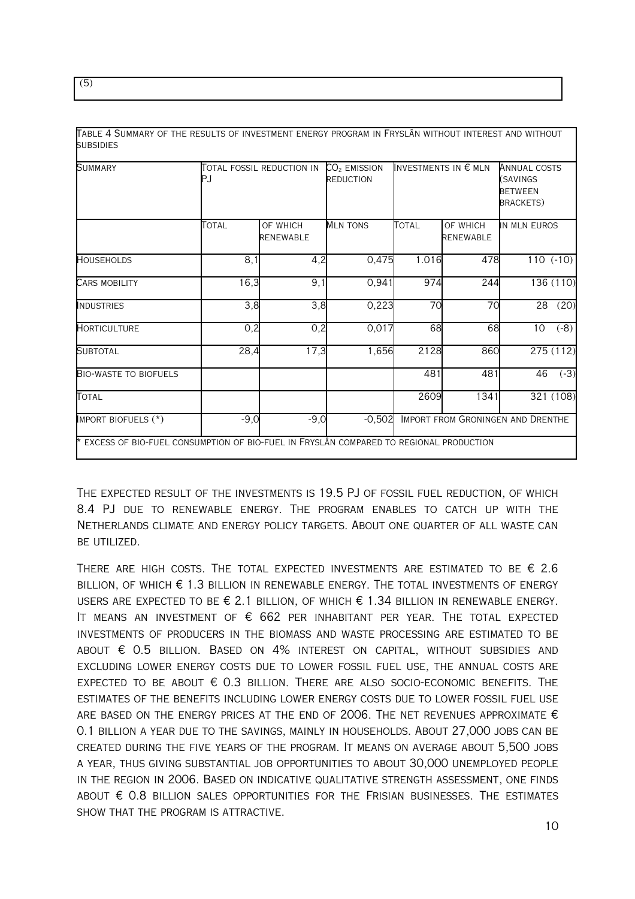| <b>SUMMARY</b>               | PJ     | TOTAL FOSSIL REDUCTION IN    | $CO2$ EMISSION<br><b>REDUCTION</b> |       | INVESTMENTS IN $\epsilon$ MLN     | <b>ANNUAL COSTS</b><br>(SAVINGS<br><b>BETWEEN</b><br><b>BRACKETS</b> |            |
|------------------------------|--------|------------------------------|------------------------------------|-------|-----------------------------------|----------------------------------------------------------------------|------------|
|                              | Total  | OF WHICH<br><b>RENEWABLE</b> | <b>MLN TONS</b>                    | Total | OF WHICH<br><b>RENEWABLE</b>      | IN MLN EUROS                                                         |            |
| <b>HOUSEHOLDS</b>            | 8,1    | 4,2                          | 0,475                              | 1.016 | 478                               |                                                                      | $110(-10)$ |
| <b>CARS MOBILITY</b>         | 16,3   | 9,1                          | 0,941                              | 974   | 244                               |                                                                      | 136 (110)  |
| INDUSTRIES                   | 3,8    | 3,8                          | 0,223                              | 70    | 70                                | 28                                                                   | (20)       |
| <b>HORTICULTURE</b>          | 0,2    | 0,2                          | 0,017                              | 68    | 68                                | 10                                                                   | $(-8)$     |
| <b>SUBTOTAL</b>              | 28,4   | 17,3                         | 1,656                              | 2128  | 860                               |                                                                      | 275 (112)  |
| <b>BIO-WASTE TO BIOFUELS</b> |        |                              |                                    | 481   | 481                               | 46                                                                   | $(-3)$     |
| <b>TOTAL</b>                 |        |                              |                                    | 2609  | 1341                              |                                                                      | 321(108)   |
| IMPORT BIOFUELS (*)          | $-9,0$ | $-9,0$                       | $-0,502$                           |       | IMPORT FROM GRONINGEN AND DRENTHE |                                                                      |            |

Table 4 Summary of the results of investment energy program in Fryslân without interest and without subsidies

The expected result of the investments is 19.5 PJ of fossil fuel reduction, of which 8.4 PJ due to renewable energy. The program enables to catch up with the Netherlands climate and energy policy targets. About one quarter of all waste can be utilized.

THERE ARE HIGH COSTS. THE TOTAL EXPECTED INVESTMENTS ARE ESTIMATED TO BE  $\epsilon$  2.6  $BILLION$ , OF WHICH  $\epsilon$  1.3 billion in renewable energy. The total investments of energy USERS ARE EXPECTED TO BE € 2.1 BILLION, OF WHICH  $€$  1.34 BILLION IN RENEWABLE ENERGY. It means an investment of  $\epsilon$  662 per inhabitant per year. The total expected investments of producers in the biomass and waste processing are estimated to be ABOUT  $\epsilon$  0.5 billion. Based on 4% interest on capital, without subsidies and excluding lower energy costs due to lower fossil fuel use, the annual costs are EXPECTED TO BE ABOUT  $\epsilon$  0.3 billion. There are also socio-economic benefits. The estimates of the benefits including lower energy costs due to lower fossil fuel use ARE BASED ON THE ENERGY PRICES AT THE END OF  $2006$ . The net revenues approximate  $\epsilon$ 0.1 billion a year due to the savings, mainly in households. About 27,000 jobs can be created during the five years of the program. It means on average about 5,500 jobs a year, thus giving substantial job opportunities to about 30,000 unemployed people in the region in 2006. Based on indicative qualitative strength assessment, one finds ABOUT  $\epsilon$  0.8 billion sales opportunities for the Frisian businesses. The estimates show that the program is attractive.

(5)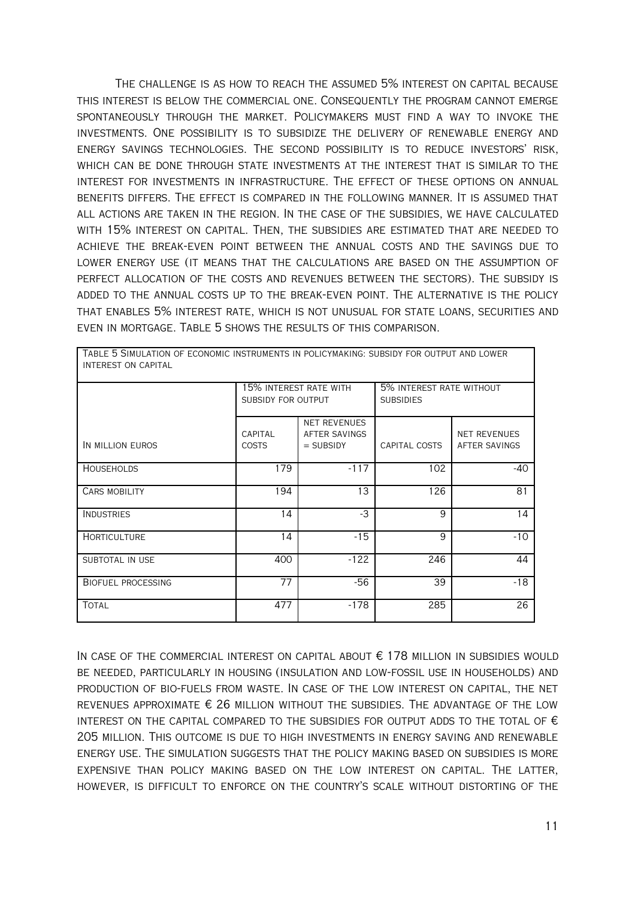The challenge is as how to reach the assumed 5% interest on capital because this interest is below the commercial one. Consequently the program cannot emerge spontaneously through the market. Policymakers must find a way to invoke the investments. One possibility is to subsidize the delivery of renewable energy and energy savings technologies. The second possibility is to reduce investors' risk, which can be done through state investments at the interest that is similar to the interest for investments in infrastructure. The effect of these options on annual benefits differs. The effect is compared in the following manner. It is assumed that all actions are taken in the region. In the case of the subsidies, we have calculated with 15% interest on capital. Then, the subsidies are estimated that are needed to achieve the break-even point between the annual costs and the savings due to lower energy use (it means that the calculations are based on the assumption of perfect allocation of the costs and revenues between the sectors). The subsidy is added to the annual costs up to the break-even point. The alternative is the policy that enables 5% interest rate, which is not unusual for state loans, securities and even in mortgage. Table 5 shows the results of this comparison.

| INTENEST VN CAFITAL       |                         |                                                     |                                              |                               |  |
|---------------------------|-------------------------|-----------------------------------------------------|----------------------------------------------|-------------------------------|--|
|                           | SUBSIDY FOR OUTPUT      | 15% INTEREST RATE WITH                              | 5% INTEREST RATE WITHOUT<br><b>SUBSIDIES</b> |                               |  |
| IN MILLION EUROS          | CAPITAL<br><b>COSTS</b> | <b>NET REVENUES</b><br>AFTER SAVINGS<br>$=$ SUBSIDY | CAPITAL COSTS                                | NET REVENUES<br>AFTER SAVINGS |  |
| <b>HOUSEHOLDS</b>         | 179                     | $-117$                                              | 102                                          | $-40$                         |  |
| <b>CARS MOBILITY</b>      | 194                     | 13                                                  | 126                                          | 81                            |  |
| <b>INDUSTRIES</b>         | 14                      | $-3$                                                | 9                                            | 14                            |  |
| <b>HORTICULTURE</b>       | 14                      | $-15$                                               | 9                                            | $-10$                         |  |
| SUBTOTAL IN USE           | 400                     | $-122$                                              | 246                                          | 44                            |  |
| <b>BIOFUEL PROCESSING</b> | 77                      | -56                                                 | 39                                           | $-18$                         |  |
| <b>TOTAL</b>              | 477                     | $-178$                                              | 285                                          | 26                            |  |

Table 5 Simulation of economic instruments in policymaking: subsidy for output and lower interest on capital

In case of the commercial interest on capital about € 178 million in subsidies would be needed, particularly in housing (insulation and low-fossil use in households) and production of bio-fuels from waste. In case of the low interest on capital, the net REVENUES APPROXIMATE  $\epsilon$  26 million without the subsidies. The advantage of the low INTEREST ON THE CAPITAL COMPARED TO THE SUBSIDIES FOR OUTPUT ADDS TO THE TOTAL OF  $\epsilon$ 205 million. This outcome is due to high investments in energy saving and renewable energy use. The simulation suggests that the policy making based on subsidies is more expensive than policy making based on the low interest on capital. The latter, however, is difficult to enforce on the country's scale without distorting of the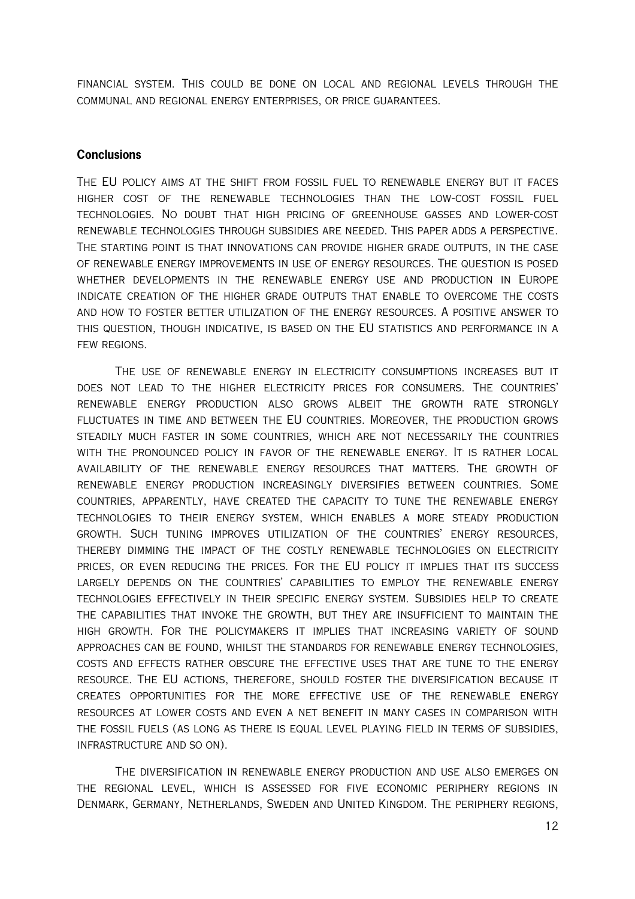financial system. This could be done on local and regional levels through the communal and regional energy enterprises, or price guarantees.

#### **Conclusions**

The EU policy aims at the shift from fossil fuel to renewable energy but it faces higher cost of the renewable technologies than the low-cost fossil fuel technologies. No doubt that high pricing of greenhouse gasses and lower-cost renewable technologies through subsidies are needed. This paper adds a perspective. The starting point is that innovations can provide higher grade outputs, in the case of renewable energy improvements in use of energy resources. The question is posed whether developments in the renewable energy use and production in Europe indicate creation of the higher grade outputs that enable to overcome the costs and how to foster better utilization of the energy resources. A positive answer to this question, though indicative, is based on the EU statistics and performance in a FEW REGIONS.

The use of renewable energy in electricity consumptions increases but it does not lead to the higher electricity prices for consumers. The countries' renewable energy production also grows albeit the growth rate strongly fluctuates in time and between the EU countries. Moreover, the production grows steadily much faster in some countries, which are not necessarily the countries with the pronounced policy in favor of the renewable energy. It is rather local availability of the renewable energy resources that matters. The growth of renewable energy production increasingly diversifies between countries. Some countries, apparently, have created the capacity to tune the renewable energy technologies to their energy system, which enables a more steady production growth. Such tuning improves utilization of the countries' energy resources, thereby dimming the impact of the costly renewable technologies on electricity prices, or even reducing the prices. For the EU policy it implies that its success largely depends on the countries' capabilities to employ the renewable energy technologies effectively in their specific energy system. Subsidies help to create the capabilities that invoke the growth, but they are insufficient to maintain the high growth. For the policymakers it implies that increasing variety of sound approaches can be found, whilst the standards for renewable energy technologies, costs and effects rather obscure the effective uses that are tune to the energy resource. The EU actions, therefore, should foster the diversification because it creates opportunities for the more effective use of the renewable energy resources at lower costs and even a net benefit in many cases in comparison with the fossil fuels (as long as there is equal level playing field in terms of subsidies, infrastructure and so on).

The diversification in renewable energy production and use also emerges on the regional level, which is assessed for five economic periphery regions in Denmark, Germany, Netherlands, Sweden and United Kingdom. The periphery regions,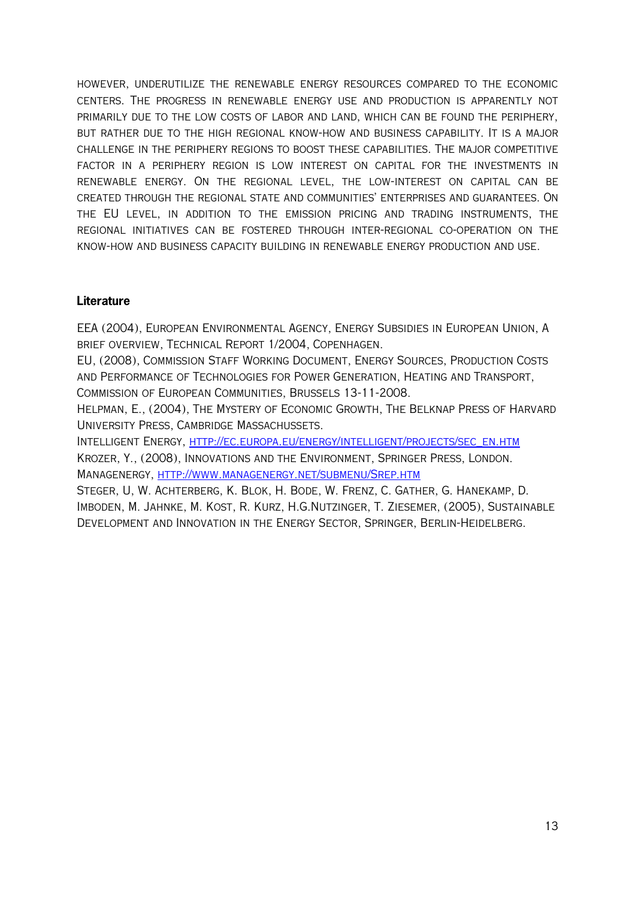however, underutilize the renewable energy resources compared to the economic centers. The progress in renewable energy use and production is apparently not primarily due to the low costs of labor and land, which can be found the periphery, but rather due to the high regional know-how and business capability. It is a major challenge in the periphery regions to boost these capabilities. The major competitive factor in a periphery region is low interest on capital for the investments in renewable energy. On the regional level, the low-interest on capital can be created through the regional state and communities' enterprises and guarantees. On the EU level, in addition to the emission pricing and trading instruments, the regional initiatives can be fostered through inter-regional co-operation on the know-how and business capacity building in renewable energy production and use.

## **Literature**

EEA (2004), European Environmental Agency, Energy Subsidies in European Union, A brief overview, Technical Report 1/2004, Copenhagen.

EU, (2008), Commission Staff Working Document, Energy Sources, Production Costs and Performance of Technologies for Power Generation, Heating and Transport, Commission of European Communities, Brussels 13-11-2008.

Helpman, E., (2004), The Mystery of Economic Growth, The Belknap Press of Harvard University Press, Cambridge Massachussets.

Intelligent Energy, [http://ec.europa.eu/energy/intelligent/projects/sec\\_en.htm](http://ec.europa.eu/energy/intelligent/projects/sec_en.htm) Krozer, Y., (2008), Innovations and the Environment, Springer Press, London. Managenergy,<http://www.managenergy.net/submenu/Srep.htm>

Steger, U, W. Achterberg, K. Blok, H. Bode, W. Frenz, C. Gather, G. Hanekamp, D. Imboden, M. Jahnke, M. Kost, R. Kurz, H.G.Nutzinger, T. Ziesemer, (2005), Sustainable Development and Innovation in the Energy Sector, Springer, Berlin-Heidelberg.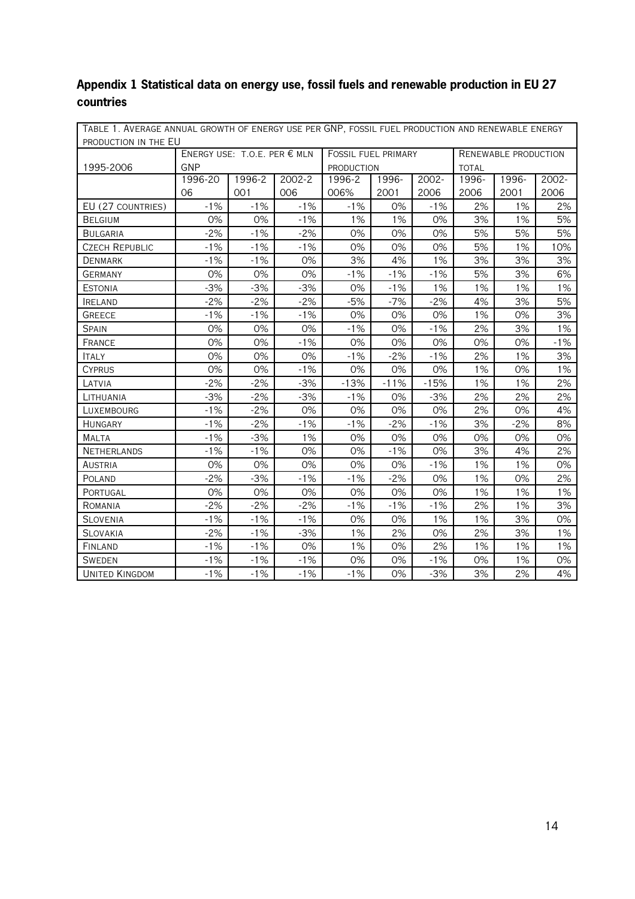# **Appendix 1 Statistical data on energy use, fossil fuels and renewable production in EU 27 countries**

| TABLE 1. AVERAGE ANNUAL GROWTH OF ENERGY USE PER GNP, FOSSIL FUEL PRODUCTION AND RENEWABLE ENERGY |                              |        |        |                            |        |        |                             |       |       |
|---------------------------------------------------------------------------------------------------|------------------------------|--------|--------|----------------------------|--------|--------|-----------------------------|-------|-------|
| PRODUCTION IN THE EU                                                                              |                              |        |        |                            |        |        |                             |       |       |
|                                                                                                   | ENERGY USE: T.O.E. PER € MLN |        |        | <b>FOSSIL FUEL PRIMARY</b> |        |        | <b>RENEWABLE PRODUCTION</b> |       |       |
| 1995-2006                                                                                         | GNP                          |        |        | <b>PRODUCTION</b>          |        |        | <b>TOTAL</b>                |       |       |
|                                                                                                   | 1996-20                      | 1996-2 | 2002-2 | 1996-2                     | 1996-  | 2002-  | 1996-                       | 1996- | 2002- |
|                                                                                                   | 06                           | 001    | 006    | 006%                       | 2001   | 2006   | 2006                        | 2001  | 2006  |
| EU (27 COUNTRIES)                                                                                 | $-1%$                        | $-1%$  | $-1%$  | $-1\%$                     | 0%     | $-1%$  | 2%                          | 1%    | 2%    |
| <b>BELGIUM</b>                                                                                    | 0%                           | 0%     | $-1%$  | 1%                         | 1%     | 0%     | 3%                          | 1%    | 5%    |
| <b>BULGARIA</b>                                                                                   | $-2%$                        | $-1%$  | $-2%$  | 0%                         | 0%     | 0%     | 5%                          | 5%    | 5%    |
| <b>CZECH REPUBLIC</b>                                                                             | $-1%$                        | $-1%$  | $-1%$  | 0%                         | 0%     | 0%     | 5%                          | 1%    | 10%   |
| DENMARK                                                                                           | $-1%$                        | $-1%$  | 0%     | 3%                         | 4%     | 1%     | 3%                          | 3%    | 3%    |
| <b>GERMANY</b>                                                                                    | $0\%$                        | $0\%$  | $0\%$  | $-1%$                      | $-1%$  | $-1%$  | 5%                          | 3%    | 6%    |
| <b>ESTONIA</b>                                                                                    | $-3%$                        | $-3%$  | $-3%$  | 0%                         | $-1%$  | 1%     | 1%                          | 1%    | 1%    |
| <b>IRELAND</b>                                                                                    | $-2%$                        | $-2%$  | $-2%$  | $-5%$                      | $-7%$  | $-2%$  | 4%                          | 3%    | 5%    |
| <b>GREECE</b>                                                                                     | $-1%$                        | $-1%$  | $-1%$  | 0%                         | 0%     | 0%     | 1%                          | 0%    | 3%    |
| <b>SPAIN</b>                                                                                      | 0%                           | 0%     | 0%     | $-1%$                      | 0%     | $-1%$  | 2%                          | 3%    | $1\%$ |
| <b>FRANCE</b>                                                                                     | 0%                           | 0%     | $-1%$  | 0%                         | 0%     | 0%     | 0%                          | 0%    | $-1%$ |
| <b>ITALY</b>                                                                                      | 0%                           | 0%     | 0%     | $-1%$                      | $-2%$  | $-1%$  | 2%                          | 1%    | 3%    |
| <b>CYPRUS</b>                                                                                     | 0%                           | 0%     | $-1%$  | 0%                         | 0%     | 0%     | 1%                          | 0%    | 1%    |
| LATVIA                                                                                            | $-2%$                        | $-2%$  | $-3%$  | $-13%$                     | $-11%$ | $-15%$ | 1%                          | 1%    | 2%    |
| LITHUANIA                                                                                         | $-3%$                        | $-2%$  | $-3%$  | $-1%$                      | 0%     | $-3%$  | 2%                          | 2%    | 2%    |
| LUXEMBOURG                                                                                        | $-1%$                        | $-2%$  | 0%     | 0%                         | 0%     | 0%     | 2%                          | 0%    | 4%    |
| <b>HUNGARY</b>                                                                                    | $-1%$                        | $-2%$  | $-1%$  | $-1%$                      | $-2%$  | $-1%$  | 3%                          | $-2%$ | 8%    |
| <b>MALTA</b>                                                                                      | $-1%$                        | $-3%$  | 1%     | 0%                         | 0%     | 0%     | 0%                          | 0%    | 0%    |
| <b>NETHERLANDS</b>                                                                                | $-1%$                        | $-1%$  | 0%     | $0\%$                      | $-1%$  | 0%     | 3%                          | 4%    | 2%    |
| AUSTRIA                                                                                           | 0%                           | 0%     | 0%     | 0%                         | 0%     | $-1%$  | 1%                          | 1%    | 0%    |
| <b>POLAND</b>                                                                                     | $-2%$                        | $-3%$  | $-1%$  | $-1%$                      | $-2%$  | 0%     | 1%                          | 0%    | 2%    |
| PORTUGAL                                                                                          | 0%                           | 0%     | 0%     | 0%                         | 0%     | 0%     | 1%                          | 1%    | 1%    |
| ROMANIA                                                                                           | $-2%$                        | $-2%$  | $-2%$  | $-1%$                      | $-1%$  | $-1%$  | 2%                          | 1%    | 3%    |
| <b>SLOVENIA</b>                                                                                   | $-1%$                        | $-1%$  | $-1%$  | 0%                         | 0%     | 1%     | 1%                          | 3%    | 0%    |
| <b>SLOVAKIA</b>                                                                                   | $-2%$                        | $-1%$  | $-3%$  | 1%                         | 2%     | 0%     | 2%                          | 3%    | 1%    |
| <b>FINLAND</b>                                                                                    | $-1%$                        | $-1%$  | 0%     | 1%                         | 0%     | 2%     | 1%                          | 1%    | 1%    |
| <b>SWEDEN</b>                                                                                     | $-1%$                        | $-1%$  | $-1%$  | 0%                         | 0%     | $-1%$  | 0%                          | 1%    | 0%    |
| <b>UNITED KINGDOM</b>                                                                             | $-1%$                        | $-1%$  | $-1%$  | $-1%$                      | 0%     | $-3%$  | 3%                          | 2%    | 4%    |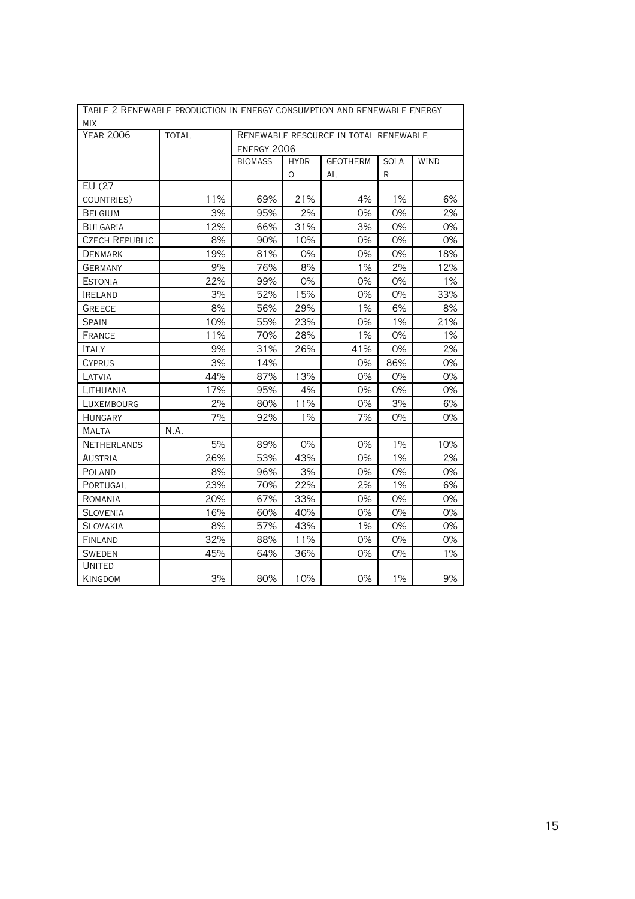| TABLE 2 RENEWABLE PRODUCTION IN ENERGY CONSUMPTION AND RENEWABLE ENERGY |              |                    |             |                                       |      |       |
|-------------------------------------------------------------------------|--------------|--------------------|-------------|---------------------------------------|------|-------|
| MIX                                                                     |              |                    |             |                                       |      |       |
| <b>YEAR 2006</b>                                                        | <b>TOTAL</b> |                    |             | RENEWABLE RESOURCE IN TOTAL RENEWABLE |      |       |
|                                                                         |              | <b>ENERGY 2006</b> |             |                                       |      |       |
|                                                                         |              | <b>BIOMASS</b>     | <b>HYDR</b> | <b>GEOTHERM</b>                       | SOLA | WIND  |
|                                                                         |              |                    | O           | AL                                    | R    |       |
| EU (27                                                                  |              |                    |             |                                       |      |       |
| COUNTRIES)                                                              | 11%          | 69%                | 21%         | 4%                                    | 1%   | 6%    |
| <b>BELGIUM</b>                                                          | 3%           | 95%                | 2%          | 0%                                    | 0%   | 2%    |
| <b>BULGARIA</b>                                                         | 12%          | 66%                | 31%         | 3%                                    | 0%   | 0%    |
| <b>CZECH REPUBLIC</b>                                                   | 8%           | 90%                | 10%         | 0%                                    | 0%   | 0%    |
| <b>DENMARK</b>                                                          | 19%          | 81%                | 0%          | 0%                                    | 0%   | 18%   |
| <b>GERMANY</b>                                                          | 9%           | 76%                | 8%          | 1%                                    | 2%   | 12%   |
| <b>ESTONIA</b>                                                          | 22%          | 99%                | 0%          | 0%                                    | 0%   | 1%    |
| <b>IRELAND</b>                                                          | 3%           | 52%                | 15%         | 0%                                    | 0%   | 33%   |
| <b>GREECE</b>                                                           | 8%           | 56%                | 29%         | 1%                                    | 6%   | 8%    |
| <b>SPAIN</b>                                                            | 10%          | 55%                | 23%         | 0%                                    | 1%   | 21%   |
| <b>FRANCE</b>                                                           | 11%          | 70%                | 28%         | 1%                                    | 0%   | $1\%$ |
| <b>ITALY</b>                                                            | 9%           | 31%                | 26%         | 41%                                   | 0%   | 2%    |
| <b>CYPRUS</b>                                                           | 3%           | 14%                |             | 0%                                    | 86%  | 0%    |
| LATVIA                                                                  | 44%          | 87%                | 13%         | 0%                                    | 0%   | 0%    |
| LITHUANIA                                                               | 17%          | 95%                | 4%          | 0%                                    | 0%   | 0%    |
| LUXEMBOURG                                                              | 2%           | 80%                | 11%         | 0%                                    | 3%   | 6%    |
| <b>HUNGARY</b>                                                          | 7%           | 92%                | 1%          | 7%                                    | 0%   | 0%    |
| MALTA                                                                   | N.A.         |                    |             |                                       |      |       |
| <b>NETHERLANDS</b>                                                      | 5%           | 89%                | 0%          | 0%                                    | 1%   | 10%   |
| <b>AUSTRIA</b>                                                          | 26%          | 53%                | 43%         | 0%                                    | 1%   | 2%    |
| POLAND                                                                  | 8%           | 96%                | 3%          | 0%                                    | 0%   | 0%    |
| PORTUGAL                                                                | 23%          | 70%                | 22%         | 2%                                    | 1%   | 6%    |
| ROMANIA                                                                 | 20%          | 67%                | 33%         | 0%                                    | 0%   | 0%    |
| <b>SLOVENIA</b>                                                         | 16%          | 60%                | 40%         | 0%                                    | 0%   | 0%    |
| <b>SLOVAKIA</b>                                                         | 8%           | 57%                | 43%         | 1%                                    | 0%   | 0%    |
| FINLAND                                                                 | 32%          | 88%                | 11%         | 0%                                    | 0%   | 0%    |
| <b>SWEDEN</b>                                                           | 45%          | 64%                | 36%         | 0%                                    | 0%   | 1%    |
| <b>UNITED</b>                                                           |              |                    |             |                                       |      |       |
| <b>KINGDOM</b>                                                          | 3%           | 80%                | 10%         | 0%                                    | 1%   | 9%    |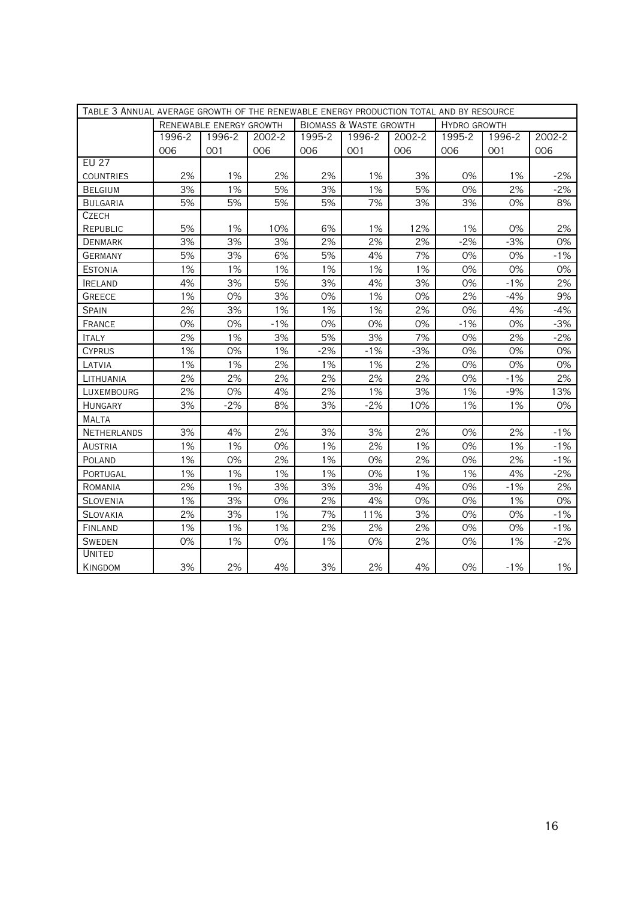| TABLE 3 ANNUAL AVERAGE GROWTH OF THE RENEWABLE ENERGY PRODUCTION TOTAL AND BY RESOURCE |        |                         |        |        |                                   |        |        |                     |        |  |
|----------------------------------------------------------------------------------------|--------|-------------------------|--------|--------|-----------------------------------|--------|--------|---------------------|--------|--|
|                                                                                        |        | RENEWABLE ENERGY GROWTH |        |        | <b>BIOMASS &amp; WASTE GROWTH</b> |        |        | <b>HYDRO GROWTH</b> |        |  |
|                                                                                        | 1996-2 | 1996-2                  | 2002-2 | 1995-2 | 1996-2                            | 2002-2 | 1995-2 | 1996-2              | 2002-2 |  |
|                                                                                        | 006    | 001                     | 006    | 006    | 001                               | 006    | 006    | 001                 | 006    |  |
| <b>EU 27</b>                                                                           |        |                         |        |        |                                   |        |        |                     |        |  |
| <b>COUNTRIES</b>                                                                       | 2%     | 1%                      | 2%     | 2%     | 1%                                | 3%     | 0%     | 1%                  | $-2%$  |  |
| <b>BELGIUM</b>                                                                         | 3%     | 1%                      | 5%     | 3%     | 1%                                | 5%     | 0%     | 2%                  | $-2%$  |  |
| <b>BULGARIA</b>                                                                        | 5%     | 5%                      | 5%     | 5%     | 7%                                | 3%     | 3%     | 0%                  | 8%     |  |
| CZECH                                                                                  |        |                         |        |        |                                   |        |        |                     |        |  |
| REPUBLIC                                                                               | 5%     | 1%                      | 10%    | 6%     | 1%                                | 12%    | 1%     | 0%                  | 2%     |  |
| <b>DENMARK</b>                                                                         | 3%     | 3%                      | 3%     | 2%     | 2%                                | 2%     | $-2%$  | $-3%$               | 0%     |  |
| <b>GERMANY</b>                                                                         | 5%     | 3%                      | 6%     | 5%     | 4%                                | 7%     | 0%     | 0%                  | $-1%$  |  |
| <b>ESTONIA</b>                                                                         | 1%     | 1%                      | 1%     | 1%     | 1%                                | 1%     | 0%     | 0%                  | 0%     |  |
| <b>IRELAND</b>                                                                         | 4%     | 3%                      | 5%     | 3%     | 4%                                | 3%     | 0%     | $-1%$               | 2%     |  |
| <b>GREECE</b>                                                                          | 1%     | 0%                      | 3%     | 0%     | 1%                                | 0%     | 2%     | $-4%$               | 9%     |  |
| <b>SPAIN</b>                                                                           | 2%     | 3%                      | 1%     | 1%     | 1%                                | 2%     | 0%     | 4%                  | -4%    |  |
| FRANCE                                                                                 | 0%     | 0%                      | $-1%$  | 0%     | 0%                                | 0%     | $-1%$  | 0%                  | $-3%$  |  |
| <b>ITALY</b>                                                                           | 2%     | 1%                      | 3%     | 5%     | 3%                                | 7%     | 0%     | 2%                  | $-2%$  |  |
| <b>CYPRUS</b>                                                                          | 1%     | 0%                      | 1%     | $-2%$  | $-1%$                             | $-3%$  | 0%     | 0%                  | 0%     |  |
| LATVIA                                                                                 | 1%     | 1%                      | 2%     | 1%     | 1%                                | 2%     | 0%     | 0%                  | 0%     |  |
| LITHUANIA                                                                              | 2%     | 2%                      | 2%     | 2%     | 2%                                | 2%     | 0%     | $-1%$               | 2%     |  |
| LUXEMBOURG                                                                             | 2%     | 0%                      | 4%     | 2%     | 1%                                | 3%     | 1%     | $-9%$               | 13%    |  |
| <b>HUNGARY</b>                                                                         | 3%     | $-2%$                   | 8%     | 3%     | $-2%$                             | 10%    | 1%     | 1%                  | 0%     |  |
| MALTA                                                                                  |        |                         |        |        |                                   |        |        |                     |        |  |
| <b>NETHERLANDS</b>                                                                     | 3%     | 4%                      | 2%     | 3%     | 3%                                | 2%     | 0%     | 2%                  | $-1%$  |  |
| AUSTRIA                                                                                | 1%     | 1%                      | 0%     | 1%     | 2%                                | 1%     | 0%     | 1%                  | $-1%$  |  |
| POLAND                                                                                 | 1%     | 0%                      | 2%     | 1%     | 0%                                | 2%     | 0%     | 2%                  | $-1%$  |  |
| PORTUGAL                                                                               | 1%     | 1%                      | 1%     | 1%     | 0%                                | 1%     | 1%     | 4%                  | $-2%$  |  |
| ROMANIA                                                                                | 2%     | 1%                      | 3%     | 3%     | 3%                                | 4%     | 0%     | $-1%$               | 2%     |  |
| <b>SLOVENIA</b>                                                                        | 1%     | 3%                      | 0%     | 2%     | 4%                                | 0%     | 0%     | 1%                  | 0%     |  |
| <b>SLOVAKIA</b>                                                                        | 2%     | 3%                      | 1%     | 7%     | 11%                               | 3%     | 0%     | 0%                  | $-1%$  |  |
| FINLAND                                                                                | 1%     | 1%                      | 1%     | 2%     | 2%                                | 2%     | 0%     | 0%                  | $-1%$  |  |
| <b>SWEDEN</b>                                                                          | 0%     | 1%                      | 0%     | 1%     | 0%                                | 2%     | 0%     | 1%                  | $-2\%$ |  |
| <b>UNITED</b>                                                                          |        |                         |        |        |                                   |        |        |                     |        |  |
| <b>KINGDOM</b>                                                                         | 3%     | 2%                      | 4%     | 3%     | 2%                                | 4%     | 0%     | $-1%$               | 1%     |  |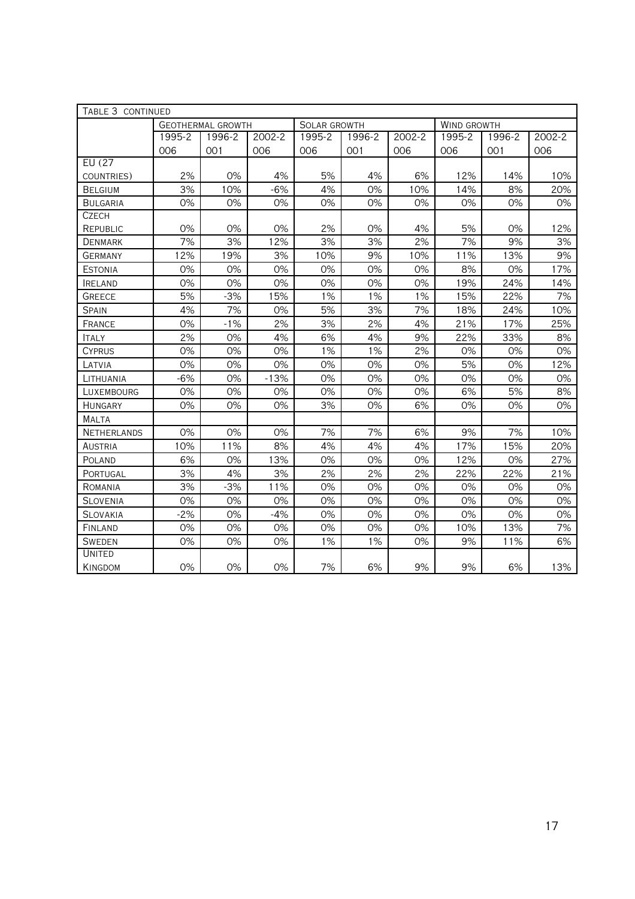| TABLE 3 CONTINUED  |        |                          |        |              |        |        |                    |        |        |
|--------------------|--------|--------------------------|--------|--------------|--------|--------|--------------------|--------|--------|
|                    |        | <b>GEOTHERMAL GROWTH</b> |        | SOLAR GROWTH |        |        | <b>WIND GROWTH</b> |        |        |
|                    | 1995-2 | 1996-2                   | 2002-2 | 1995-2       | 1996-2 | 2002-2 | 1995-2             | 1996-2 | 2002-2 |
|                    | 006    | 001                      | 006    | 006          | 001    | 006    | 006                | 001    | 006    |
| EU (27             |        |                          |        |              |        |        |                    |        |        |
| COUNTRIES)         | 2%     | 0%                       | 4%     | 5%           | 4%     | 6%     | 12%                | 14%    | 10%    |
| <b>BELGIUM</b>     | 3%     | 10%                      | $-6%$  | 4%           | 0%     | 10%    | 14%                | 8%     | 20%    |
| <b>BULGARIA</b>    | 0%     | 0%                       | 0%     | 0%           | 0%     | 0%     | 0%                 | 0%     | 0%     |
| <b>CZECH</b>       |        |                          |        |              |        |        |                    |        |        |
| <b>REPUBLIC</b>    | 0%     | 0%                       | 0%     | 2%           | 0%     | 4%     | 5%                 | 0%     | 12%    |
| <b>DENMARK</b>     | 7%     | 3%                       | 12%    | 3%           | 3%     | 2%     | 7%                 | 9%     | 3%     |
| <b>GERMANY</b>     | 12%    | 19%                      | 3%     | 10%          | 9%     | 10%    | 11%                | 13%    | 9%     |
| <b>ESTONIA</b>     | 0%     | 0%                       | 0%     | 0%           | 0%     | 0%     | 8%                 | 0%     | 17%    |
| <b>IRELAND</b>     | 0%     | 0%                       | 0%     | 0%           | 0%     | 0%     | 19%                | 24%    | 14%    |
| <b>GREECE</b>      | 5%     | $-3%$                    | 15%    | 1%           | 1%     | 1%     | 15%                | 22%    | 7%     |
| <b>SPAIN</b>       | 4%     | 7%                       | 0%     | 5%           | 3%     | 7%     | 18%                | 24%    | 10%    |
| FRANCE             | 0%     | $-1%$                    | 2%     | 3%           | 2%     | 4%     | 21%                | 17%    | 25%    |
| <b>ITALY</b>       | 2%     | 0%                       | 4%     | 6%           | 4%     | 9%     | 22%                | 33%    | 8%     |
| <b>CYPRUS</b>      | 0%     | 0%                       | 0%     | 1%           | 1%     | 2%     | 0%                 | 0%     | 0%     |
| LATVIA             | 0%     | 0%                       | 0%     | 0%           | 0%     | 0%     | 5%                 | 0%     | 12%    |
| LITHUANIA          | $-6%$  | 0%                       | $-13%$ | 0%           | 0%     | 0%     | 0%                 | 0%     | 0%     |
| LUXEMBOURG         | 0%     | 0%                       | 0%     | 0%           | 0%     | 0%     | 6%                 | 5%     | 8%     |
| <b>HUNGARY</b>     | 0%     | 0%                       | 0%     | 3%           | 0%     | 6%     | 0%                 | 0%     | 0%     |
| <b>MALTA</b>       |        |                          |        |              |        |        |                    |        |        |
| <b>NETHERLANDS</b> | 0%     | 0%                       | 0%     | 7%           | 7%     | 6%     | 9%                 | 7%     | 10%    |
| <b>AUSTRIA</b>     | 10%    | 11%                      | 8%     | 4%           | 4%     | 4%     | 17%                | 15%    | 20%    |
| POLAND             | 6%     | 0%                       | 13%    | 0%           | 0%     | 0%     | 12%                | 0%     | 27%    |
| PORTUGAL           | 3%     | 4%                       | 3%     | 2%           | 2%     | 2%     | 22%                | 22%    | 21%    |
| ROMANIA            | 3%     | $-3%$                    | 11%    | 0%           | 0%     | 0%     | 0%                 | 0%     | 0%     |
| <b>SLOVENIA</b>    | 0%     | 0%                       | 0%     | 0%           | 0%     | 0%     | 0%                 | 0%     | 0%     |
| <b>SLOVAKIA</b>    | $-2%$  | 0%                       | $-4%$  | 0%           | 0%     | 0%     | 0%                 | 0%     | 0%     |
| FINLAND            | 0%     | 0%                       | 0%     | 0%           | 0%     | 0%     | 10%                | 13%    | 7%     |
| <b>SWEDEN</b>      | 0%     | 0%                       | 0%     | 1%           | 1%     | 0%     | 9%                 | 11%    | 6%     |
| UNITED             |        |                          |        |              |        |        |                    |        |        |
| KINGDOM            | 0%     | 0%                       | 0%     | 7%           | 6%     | 9%     | 9%                 | 6%     | 13%    |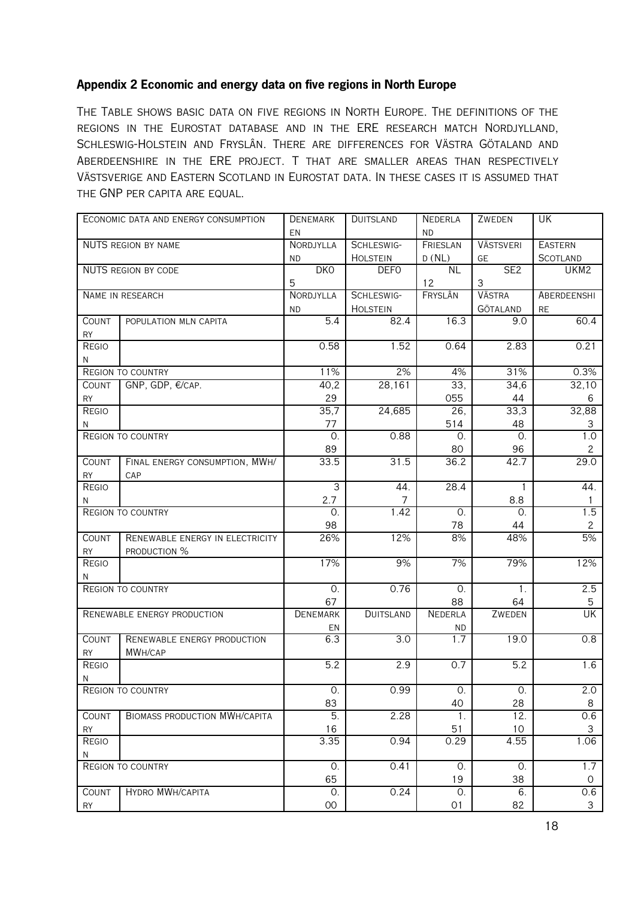## **Appendix 2 Economic and energy data on five regions in North Europe**

The Table shows basic data on five regions in North Europe. The definitions of the regions in the Eurostat database and in the ERE research match Nordjylland, Schleswig-Holstein and Fryslân. There are differences for Västra Götaland and Aberdeenshire in the ERE project. T that are smaller areas than respectively Västsverige and Eastern Scotland in Eurostat data. In these cases it is assumed that the GNP per capita are equal.

|              | ECONOMIC DATA AND ENERGY CONSUMPTION | <b>DENEMARK</b>  | <b>DUITSLAND</b> | <b>NEDERLA</b>   | ZWEDEN           | UK               |
|--------------|--------------------------------------|------------------|------------------|------------------|------------------|------------------|
|              |                                      | EN               |                  | <b>ND</b>        |                  |                  |
|              | <b>NUTS REGION BY NAME</b>           | NORDJYLLA        | SCHLESWIG-       | FRIESLAN         | <b>VÄSTSVERI</b> | <b>EASTERN</b>   |
|              |                                      | <b>ND</b>        | <b>HOLSTEIN</b>  | D(NL)            | GE               | <b>SCOTLAND</b>  |
|              | <b>NUTS REGION BY CODE</b>           | DKO              | <b>DEFO</b>      | <b>NL</b>        | SE2              | UKM2             |
|              |                                      | 5                |                  | 12               | 3                |                  |
|              | NAME IN RESEARCH                     | NORDJYLLA        | SCHLESWIG-       | FRYSLÂN          | <b>VÄSTRA</b>    | ABERDEENSHI      |
|              |                                      | <b>ND</b>        | <b>HOLSTEIN</b>  |                  | GÖTALAND         | RE               |
| <b>COUNT</b> | POPULATION MLN CAPITA                | $\overline{5.4}$ | 82.4             | 16.3             | 9.0              | 60.4             |
| <b>RY</b>    |                                      |                  |                  |                  |                  |                  |
| REGIO        |                                      | 0.58             | 1.52             | 0.64             | 2.83             | 0.21             |
| N            |                                      |                  |                  |                  |                  |                  |
|              | <b>REGION TO COUNTRY</b>             | 11%              | 2%               | 4%               | 31%              | 0.3%             |
| <b>COUNT</b> | GNP, GDP, €/CAP.                     | 40,2             | 28,161           | $\overline{33,}$ | 34,6             | 32,10            |
| <b>RY</b>    |                                      | 29               |                  | 055              | 44               | 6                |
| REGIO        |                                      | 35,7             | 24,685           | 26,              | 33,3             | 32,88            |
| N            |                                      | 77               |                  | 514              | 48               | 3                |
|              | <b>REGION TO COUNTRY</b>             | $\Omega$ .       | 0.88             | 0.               | 0.               | 1.0              |
|              |                                      | 89               |                  | 80               | 96               | $\mathbf{2}$     |
| <b>COUNT</b> | FINAL ENERGY CONSUMPTION, MWH/       | 33.5             | 31.5             | 36.2             | 42.7             | 29.0             |
| <b>RY</b>    | CAP                                  |                  |                  |                  |                  |                  |
| REGIO        |                                      | $\overline{3}$   | 44.              | 28.4             | 1                | 44.              |
| N            |                                      | 2.7              | 7                |                  | 8.8              | $\mathbf{1}$     |
|              | <b>REGION TO COUNTRY</b>             | $\Omega$ .       | 1.42             | $\overline{0}$ . | $\Omega$ .       | 1.5              |
|              |                                      | 98               |                  | 78               | 44               | $\mathbf{2}$     |
| <b>COUNT</b> | RENEWABLE ENERGY IN ELECTRICITY      | 26%              | 12%              | 8%               | 48%              | $\overline{5\%}$ |
| <b>RY</b>    | PRODUCTION %                         |                  |                  |                  |                  |                  |
| REGIO        |                                      | 17%              | 9%               | 7%               | 79%              | 12%              |
| N            |                                      |                  |                  |                  |                  |                  |
|              | <b>REGION TO COUNTRY</b>             | $\overline{0}$ . | 0.76             | 0.               | 1.               | 2.5              |
|              |                                      | 67               |                  | 88               | 64               | 5                |
|              | RENEWABLE ENERGY PRODUCTION          | <b>DENEMARK</b>  | <b>DUITSLAND</b> | <b>NEDERLA</b>   | ZWEDEN           | <b>UK</b>        |
|              |                                      | EN               |                  | <b>ND</b>        |                  |                  |
| COUNT        | RENEWABLE ENERGY PRODUCTION          | 6.3              | $\overline{3.0}$ | 1.7              | 19.0             | 0.8              |
| <b>RY</b>    | MWH/CAP                              |                  |                  |                  |                  |                  |
| REGIO        |                                      | $\overline{5.2}$ | 2.9              | 0.7              | 5.2              | 1.6              |
| N            |                                      |                  |                  |                  |                  |                  |
|              | REGION TO COUNTRY                    | $\Omega$         | 0.99             | $\Omega$ .       | $\mathsf{O}$     | 2.0              |
|              |                                      | 83               |                  | 40               | 28               | 8                |
| COUNT        | <b>BIOMASS PRODUCTION MWH/CAPITA</b> | 5.               | 2.28             | 1.               | 12.              | 0.6              |
| <b>RY</b>    |                                      | 16               |                  | 51               | 10               | 3                |
| REGIO        |                                      | 3.35             | 0.94             | 0.29             | 4.55             | 1.06             |
| N            |                                      |                  |                  |                  |                  |                  |
|              | REGION TO COUNTRY                    | 0.               | 0.41             | 0.               | 0.               | 1.7              |
|              |                                      | 65               |                  | 19               | 38               | 0                |
| COUNT        | HYDRO MWH/CAPITA                     | 0.               | 0.24             | 0.               | 6.               | 0.6              |
| RY           |                                      | $00\,$           |                  | 01               | 82               | $\mathbf{3}$     |